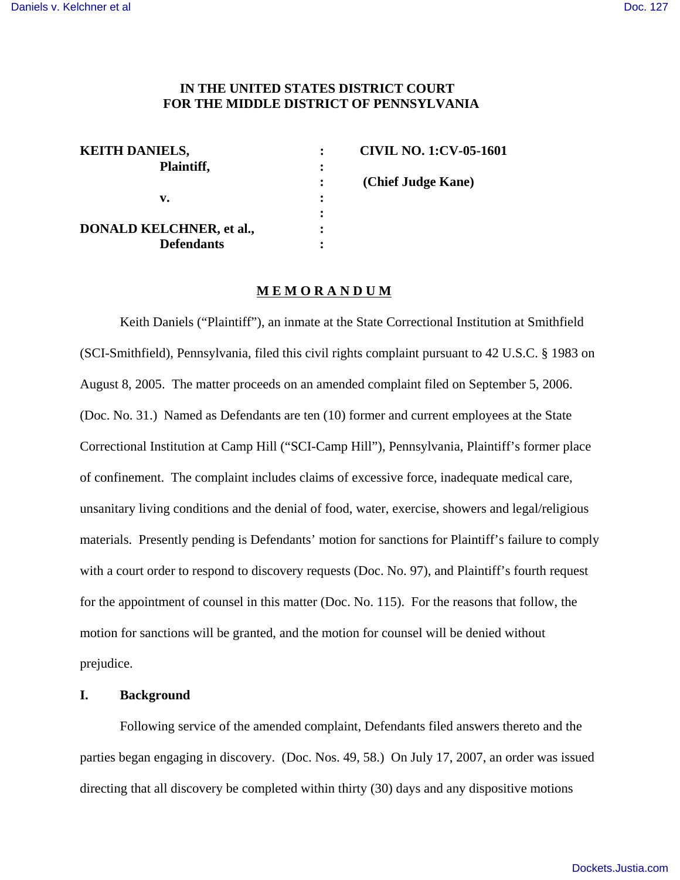### **IN THE UNITED STATES DISTRICT COURT FOR THE MIDDLE DISTRICT OF PENNSYLVANIA**

| <b>KEITH DANIELS,</b>           |   | <b>CIVIL NO. 1:CV-05-1601</b> |
|---------------------------------|---|-------------------------------|
| Plaintiff,                      | ፡ |                               |
|                                 |   | (Chief Judge Kane)            |
| v.                              | : |                               |
|                                 | : |                               |
| <b>DONALD KELCHNER, et al.,</b> |   |                               |
| <b>Defendants</b>               | ٠ |                               |

#### **M E M O R A N D U M**

Keith Daniels ("Plaintiff"), an inmate at the State Correctional Institution at Smithfield (SCI-Smithfield), Pennsylvania, filed this civil rights complaint pursuant to 42 U.S.C. § 1983 on August 8, 2005. The matter proceeds on an amended complaint filed on September 5, 2006. (Doc. No. 31.) Named as Defendants are ten (10) former and current employees at the State Correctional Institution at Camp Hill ("SCI-Camp Hill"), Pennsylvania, Plaintiff's former place of confinement. The complaint includes claims of excessive force, inadequate medical care, unsanitary living conditions and the denial of food, water, exercise, showers and legal/religious materials. Presently pending is Defendants' motion for sanctions for Plaintiff's failure to comply with a court order to respond to discovery requests (Doc. No. 97), and Plaintiff's fourth request for the appointment of counsel in this matter (Doc. No. 115). For the reasons that follow, the motion for sanctions will be granted, and the motion for counsel will be denied without prejudice.

#### **I. Background**

Following service of the amended complaint, Defendants filed answers thereto and the parties began engaging in discovery. (Doc. Nos. 49, 58.) On July 17, 2007, an order was issued directing that all discovery be completed within thirty (30) days and any dispositive motions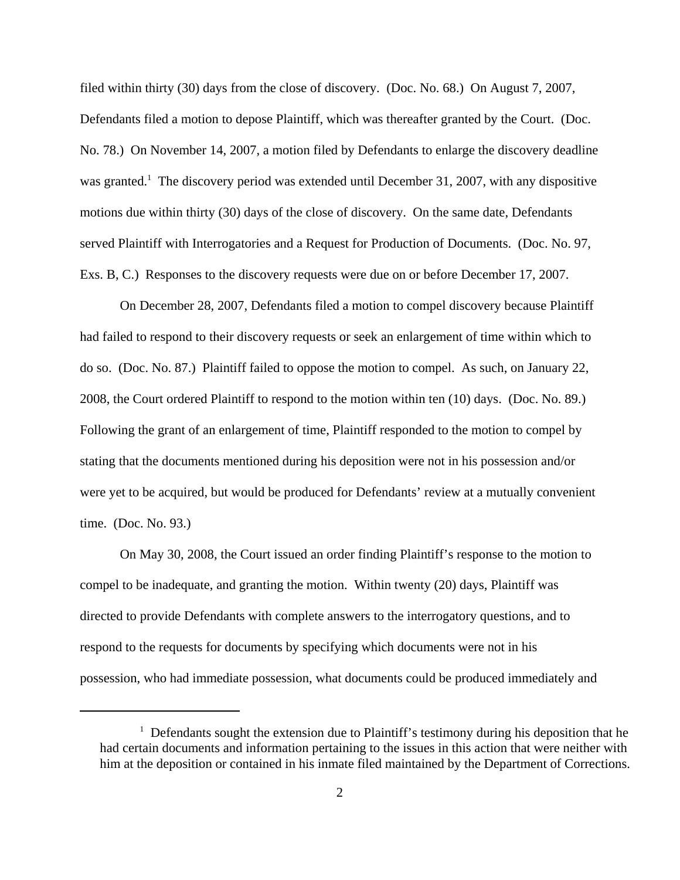filed within thirty (30) days from the close of discovery. (Doc. No. 68.) On August 7, 2007, Defendants filed a motion to depose Plaintiff, which was thereafter granted by the Court. (Doc. No. 78.) On November 14, 2007, a motion filed by Defendants to enlarge the discovery deadline was granted.<sup>1</sup> The discovery period was extended until December 31, 2007, with any dispositive motions due within thirty (30) days of the close of discovery. On the same date, Defendants served Plaintiff with Interrogatories and a Request for Production of Documents. (Doc. No. 97, Exs. B, C.) Responses to the discovery requests were due on or before December 17, 2007.

On December 28, 2007, Defendants filed a motion to compel discovery because Plaintiff had failed to respond to their discovery requests or seek an enlargement of time within which to do so. (Doc. No. 87.) Plaintiff failed to oppose the motion to compel. As such, on January 22, 2008, the Court ordered Plaintiff to respond to the motion within ten (10) days. (Doc. No. 89.) Following the grant of an enlargement of time, Plaintiff responded to the motion to compel by stating that the documents mentioned during his deposition were not in his possession and/or were yet to be acquired, but would be produced for Defendants' review at a mutually convenient time. (Doc. No. 93.)

On May 30, 2008, the Court issued an order finding Plaintiff's response to the motion to compel to be inadequate, and granting the motion. Within twenty (20) days, Plaintiff was directed to provide Defendants with complete answers to the interrogatory questions, and to respond to the requests for documents by specifying which documents were not in his possession, who had immediate possession, what documents could be produced immediately and

<sup>&</sup>lt;sup>1</sup> Defendants sought the extension due to Plaintiff's testimony during his deposition that he had certain documents and information pertaining to the issues in this action that were neither with him at the deposition or contained in his inmate filed maintained by the Department of Corrections.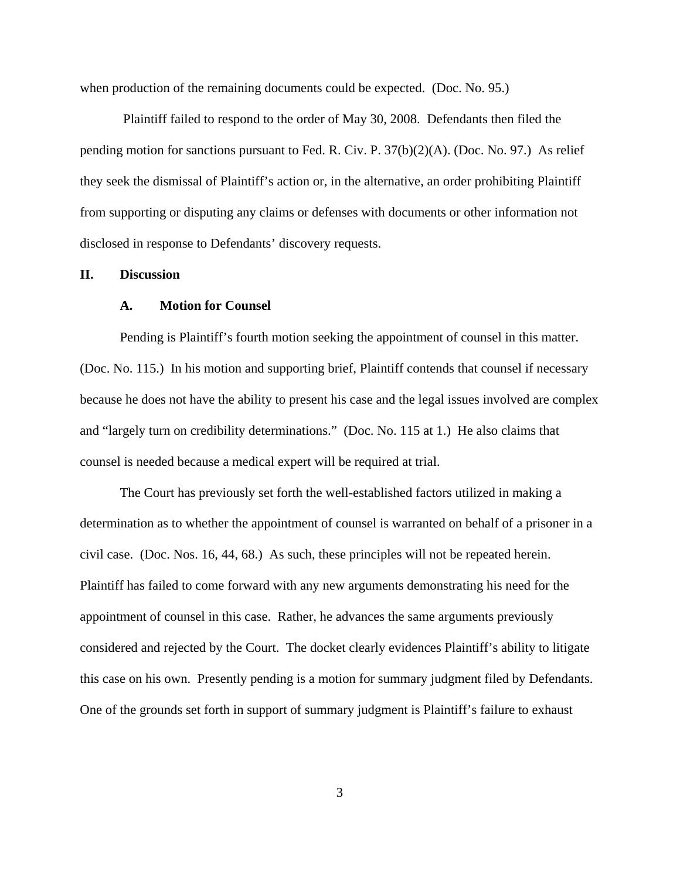when production of the remaining documents could be expected. (Doc. No. 95.)

 Plaintiff failed to respond to the order of May 30, 2008. Defendants then filed the pending motion for sanctions pursuant to Fed. R. Civ. P. 37(b)(2)(A). (Doc. No. 97.) As relief they seek the dismissal of Plaintiff's action or, in the alternative, an order prohibiting Plaintiff from supporting or disputing any claims or defenses with documents or other information not disclosed in response to Defendants' discovery requests.

### **II. Discussion**

#### **A. Motion for Counsel**

Pending is Plaintiff's fourth motion seeking the appointment of counsel in this matter. (Doc. No. 115.) In his motion and supporting brief, Plaintiff contends that counsel if necessary because he does not have the ability to present his case and the legal issues involved are complex and "largely turn on credibility determinations." (Doc. No. 115 at 1.) He also claims that counsel is needed because a medical expert will be required at trial.

The Court has previously set forth the well-established factors utilized in making a determination as to whether the appointment of counsel is warranted on behalf of a prisoner in a civil case. (Doc. Nos. 16, 44, 68.) As such, these principles will not be repeated herein. Plaintiff has failed to come forward with any new arguments demonstrating his need for the appointment of counsel in this case. Rather, he advances the same arguments previously considered and rejected by the Court. The docket clearly evidences Plaintiff's ability to litigate this case on his own. Presently pending is a motion for summary judgment filed by Defendants. One of the grounds set forth in support of summary judgment is Plaintiff's failure to exhaust

3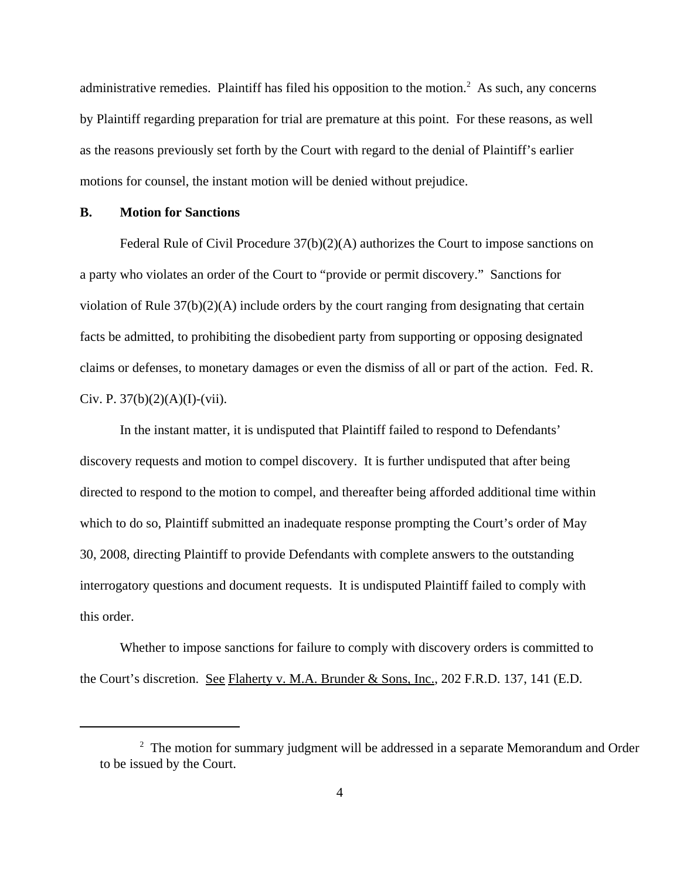administrative remedies. Plaintiff has filed his opposition to the motion.<sup>2</sup> As such, any concerns by Plaintiff regarding preparation for trial are premature at this point. For these reasons, as well as the reasons previously set forth by the Court with regard to the denial of Plaintiff's earlier motions for counsel, the instant motion will be denied without prejudice.

#### **B. Motion for Sanctions**

Federal Rule of Civil Procedure 37(b)(2)(A) authorizes the Court to impose sanctions on a party who violates an order of the Court to "provide or permit discovery." Sanctions for violation of Rule 37(b)(2)(A) include orders by the court ranging from designating that certain facts be admitted, to prohibiting the disobedient party from supporting or opposing designated claims or defenses, to monetary damages or even the dismiss of all or part of the action. Fed. R. Civ. P.  $37(b)(2)(A)(I)-(Vii)$ .

In the instant matter, it is undisputed that Plaintiff failed to respond to Defendants' discovery requests and motion to compel discovery. It is further undisputed that after being directed to respond to the motion to compel, and thereafter being afforded additional time within which to do so, Plaintiff submitted an inadequate response prompting the Court's order of May 30, 2008, directing Plaintiff to provide Defendants with complete answers to the outstanding interrogatory questions and document requests. It is undisputed Plaintiff failed to comply with this order.

Whether to impose sanctions for failure to comply with discovery orders is committed to the Court's discretion. See Flaherty v. M.A. Brunder & Sons, Inc., 202 F.R.D. 137, 141 (E.D.

 $2$  The motion for summary judgment will be addressed in a separate Memorandum and Order to be issued by the Court.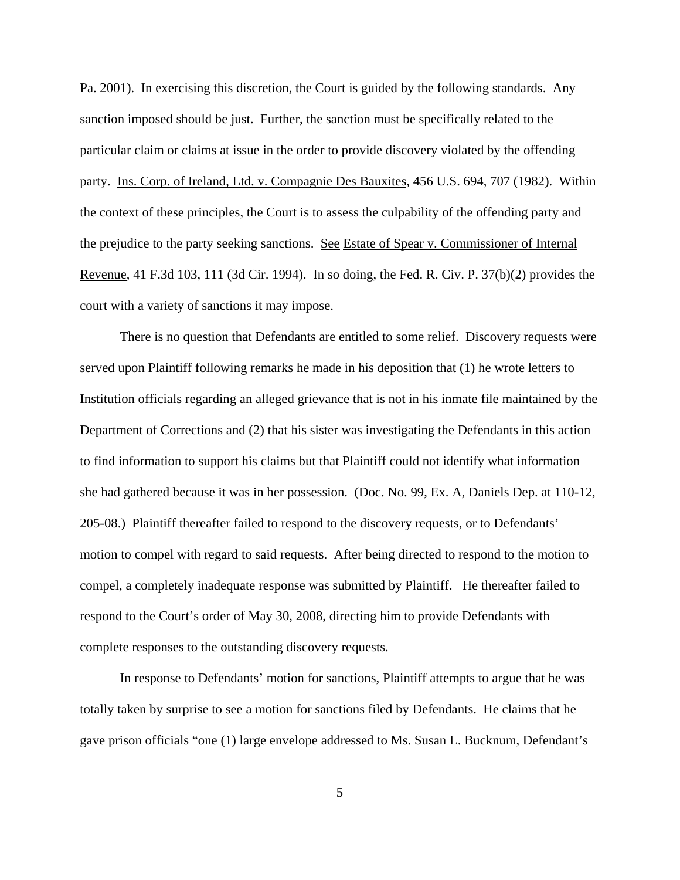Pa. 2001). In exercising this discretion, the Court is guided by the following standards. Any sanction imposed should be just. Further, the sanction must be specifically related to the particular claim or claims at issue in the order to provide discovery violated by the offending party. Ins. Corp. of Ireland, Ltd. v. Compagnie Des Bauxites, 456 U.S. 694, 707 (1982). Within the context of these principles, the Court is to assess the culpability of the offending party and the prejudice to the party seeking sanctions. See Estate of Spear v. Commissioner of Internal Revenue, 41 F.3d 103, 111 (3d Cir. 1994). In so doing, the Fed. R. Civ. P. 37(b)(2) provides the court with a variety of sanctions it may impose.

There is no question that Defendants are entitled to some relief. Discovery requests were served upon Plaintiff following remarks he made in his deposition that (1) he wrote letters to Institution officials regarding an alleged grievance that is not in his inmate file maintained by the Department of Corrections and (2) that his sister was investigating the Defendants in this action to find information to support his claims but that Plaintiff could not identify what information she had gathered because it was in her possession. (Doc. No. 99, Ex. A, Daniels Dep. at 110-12, 205-08.) Plaintiff thereafter failed to respond to the discovery requests, or to Defendants' motion to compel with regard to said requests. After being directed to respond to the motion to compel, a completely inadequate response was submitted by Plaintiff. He thereafter failed to respond to the Court's order of May 30, 2008, directing him to provide Defendants with complete responses to the outstanding discovery requests.

In response to Defendants' motion for sanctions, Plaintiff attempts to argue that he was totally taken by surprise to see a motion for sanctions filed by Defendants. He claims that he gave prison officials "one (1) large envelope addressed to Ms. Susan L. Bucknum, Defendant's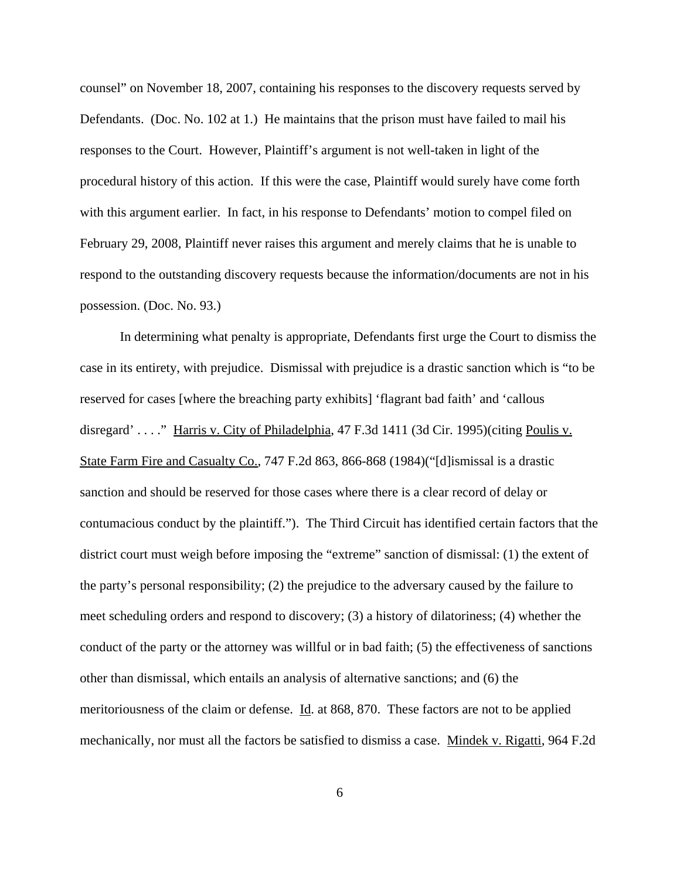counsel" on November 18, 2007, containing his responses to the discovery requests served by Defendants. (Doc. No. 102 at 1.) He maintains that the prison must have failed to mail his responses to the Court. However, Plaintiff's argument is not well-taken in light of the procedural history of this action. If this were the case, Plaintiff would surely have come forth with this argument earlier. In fact, in his response to Defendants' motion to compel filed on February 29, 2008, Plaintiff never raises this argument and merely claims that he is unable to respond to the outstanding discovery requests because the information/documents are not in his possession. (Doc. No. 93.)

In determining what penalty is appropriate, Defendants first urge the Court to dismiss the case in its entirety, with prejudice. Dismissal with prejudice is a drastic sanction which is "to be reserved for cases [where the breaching party exhibits] 'flagrant bad faith' and 'callous disregard' . . . . " Harris v. City of Philadelphia, 47 F.3d 1411 (3d Cir. 1995) (citing Poulis v. State Farm Fire and Casualty Co., 747 F.2d 863, 866-868 (1984)("[d]ismissal is a drastic sanction and should be reserved for those cases where there is a clear record of delay or contumacious conduct by the plaintiff."). The Third Circuit has identified certain factors that the district court must weigh before imposing the "extreme" sanction of dismissal: (1) the extent of the party's personal responsibility; (2) the prejudice to the adversary caused by the failure to meet scheduling orders and respond to discovery; (3) a history of dilatoriness; (4) whether the conduct of the party or the attorney was willful or in bad faith; (5) the effectiveness of sanctions other than dismissal, which entails an analysis of alternative sanctions; and (6) the meritoriousness of the claim or defense. Id. at 868, 870. These factors are not to be applied mechanically, nor must all the factors be satisfied to dismiss a case. Mindek v. Rigatti, 964 F.2d

6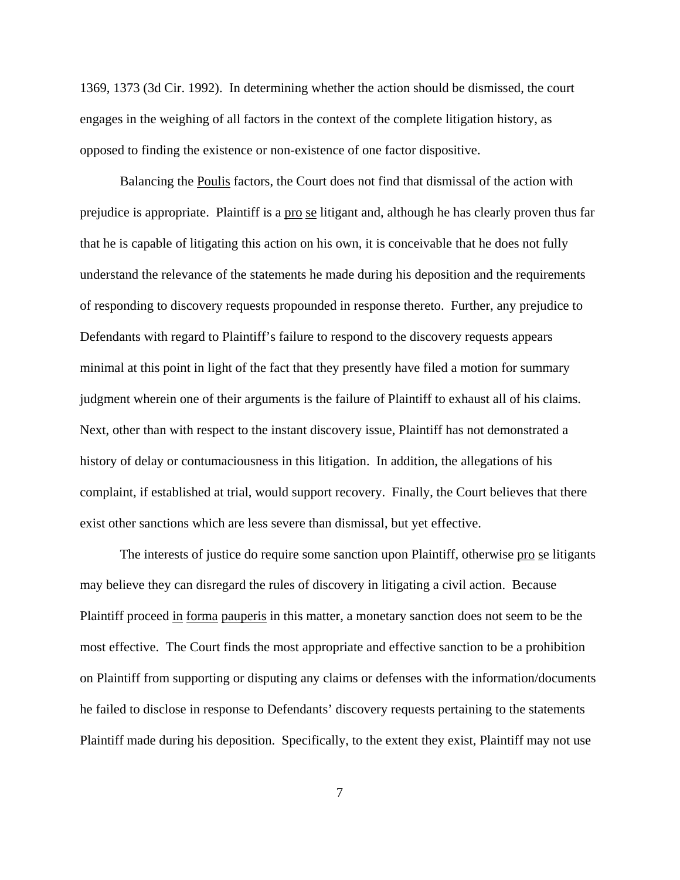1369, 1373 (3d Cir. 1992). In determining whether the action should be dismissed, the court engages in the weighing of all factors in the context of the complete litigation history, as opposed to finding the existence or non-existence of one factor dispositive.

Balancing the Poulis factors, the Court does not find that dismissal of the action with prejudice is appropriate. Plaintiff is a pro se litigant and, although he has clearly proven thus far that he is capable of litigating this action on his own, it is conceivable that he does not fully understand the relevance of the statements he made during his deposition and the requirements of responding to discovery requests propounded in response thereto. Further, any prejudice to Defendants with regard to Plaintiff's failure to respond to the discovery requests appears minimal at this point in light of the fact that they presently have filed a motion for summary judgment wherein one of their arguments is the failure of Plaintiff to exhaust all of his claims. Next, other than with respect to the instant discovery issue, Plaintiff has not demonstrated a history of delay or contumaciousness in this litigation. In addition, the allegations of his complaint, if established at trial, would support recovery. Finally, the Court believes that there exist other sanctions which are less severe than dismissal, but yet effective.

The interests of justice do require some sanction upon Plaintiff, otherwise pro se litigants may believe they can disregard the rules of discovery in litigating a civil action. Because Plaintiff proceed in forma pauperis in this matter, a monetary sanction does not seem to be the most effective. The Court finds the most appropriate and effective sanction to be a prohibition on Plaintiff from supporting or disputing any claims or defenses with the information/documents he failed to disclose in response to Defendants' discovery requests pertaining to the statements Plaintiff made during his deposition. Specifically, to the extent they exist, Plaintiff may not use

7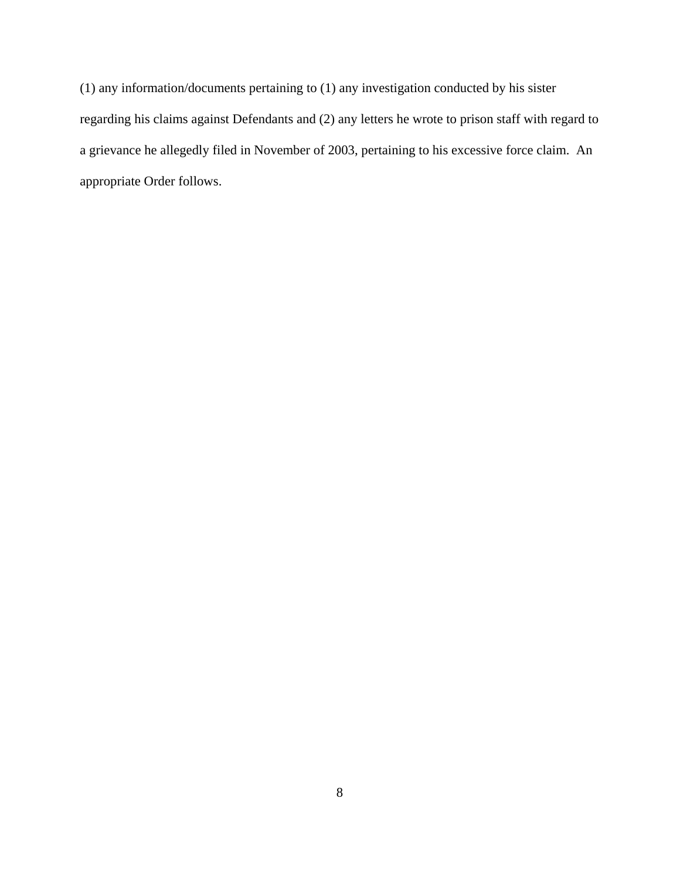(1) any information/documents pertaining to (1) any investigation conducted by his sister regarding his claims against Defendants and (2) any letters he wrote to prison staff with regard to a grievance he allegedly filed in November of 2003, pertaining to his excessive force claim. An appropriate Order follows.